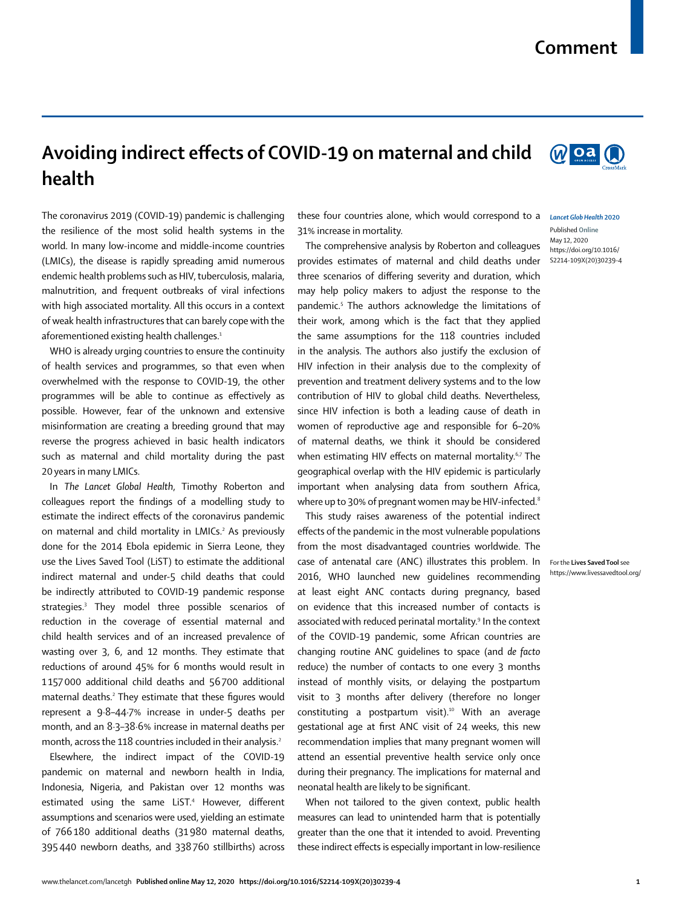## **Comment**

## **Avoiding indirect effects of COVID-19 on maternal and child health**

The coronavirus 2019 (COVID-19) pandemic is challenging the resilience of the most solid health systems in the world. In many low-income and middle-income countries (LMICs), the disease is rapidly spreading amid numerous endemic health problems such as HIV, tuberculosis, malaria, malnutrition, and frequent outbreaks of viral infections with high associated mortality. All this occurs in a context of weak health infrastructures that can barely cope with the aforementioned existing health challenges.<sup>1</sup>

WHO is already urging countries to ensure the continuity of health services and programmes, so that even when overwhelmed with the response to COVID-19, the other programmes will be able to continue as effectively as possible. However, fear of the unknown and extensive misinformation are creating a breeding ground that may reverse the progress achieved in basic health indicators such as maternal and child mortality during the past 20 years in many LMICs.

In *The Lancet Global Health*, Timothy Roberton and colleagues report the findings of a modelling study to estimate the indirect effects of the coronavirus pandemic on maternal and child mortality in LMICs.<sup>2</sup> As previously done for the 2014 Ebola epidemic in Sierra Leone, they use the [Lives Saved Tool](https://www.livessavedtool.org/) (LiST) to estimate the additional indirect maternal and under-5 child deaths that could be indirectly attributed to COVID-19 pandemic response strategies.3 They model three possible scenarios of reduction in the coverage of essential maternal and child health services and of an increased prevalence of wasting over 3, 6, and 12 months. They estimate that reductions of around 45% for 6 months would result in 1 157000 additional child deaths and 56700 additional maternal deaths.<sup>2</sup> They estimate that these figures would represent a 9·8–44·7% increase in under-5 deaths per month, and an 8·3–38·6% increase in maternal deaths per month, across the 118 countries included in their analysis.<sup>2</sup>

Elsewhere, the indirect impact of the COVID-19 pandemic on maternal and newborn health in India, Indonesia, Nigeria, and Pakistan over 12 months was estimated using the same LiST.<sup>4</sup> However, different assumptions and scenarios were used, yielding an estimate of 766180 additional deaths (31980 maternal deaths, 395440 newborn deaths, and 338760 stillbirths) across

these four countries alone, which would correspond to a *Lancet Glob Health* **2020** 31% increase in mortality.

The comprehensive analysis by Roberton and colleagues provides estimates of maternal and child deaths under three scenarios of differing severity and duration, which may help policy makers to adjust the response to the pandemic.5 The authors acknowledge the limitations of their work, among which is the fact that they applied the same assumptions for the 118 countries included in the analysis. The authors also justify the exclusion of HIV infection in their analysis due to the complexity of prevention and treatment delivery systems and to the low contribution of HIV to global child deaths. Nevertheless, since HIV infection is both a leading cause of death in women of reproductive age and responsible for 6–20% of maternal deaths, we think it should be considered when estimating HIV effects on maternal mortality.<sup>6,7</sup> The geographical overlap with the HIV epidemic is particularly important when analysing data from southern Africa, where up to 30% of pregnant women may be HIV-infected.<sup>8</sup>

This study raises awareness of the potential indirect effects of the pandemic in the most vulnerable populations from the most disadvantaged countries worldwide. The case of antenatal care (ANC) illustrates this problem. In 2016, WHO launched new guidelines recommending at least eight ANC contacts during pregnancy, based on evidence that this increased number of contacts is associated with reduced perinatal mortality.<sup>9</sup> In the context of the COVID-19 pandemic, some African countries are changing routine ANC guidelines to space (and *de facto* reduce) the number of contacts to one every 3 months instead of monthly visits, or delaying the postpartum visit to 3 months after delivery (therefore no longer constituting a postpartum visit).<sup>10</sup> With an average gestational age at first ANC visit of 24 weeks, this new recommendation implies that many pregnant women will attend an essential preventive health service only once during their pregnancy. The implications for maternal and neonatal health are likely to be significant.

When not tailored to the given context, public health measures can lead to unintended harm that is potentially greater than the one that it intended to avoid. Preventing these indirect effects is especially important in low-resilience



Woa<sup>O</sup>

Published **Online** May 12, 2020 https://doi.org/10.1016/ S2214-109X(20)30239-4

For the **Lives Saved Tool** see <https://www.livessavedtool.org/>